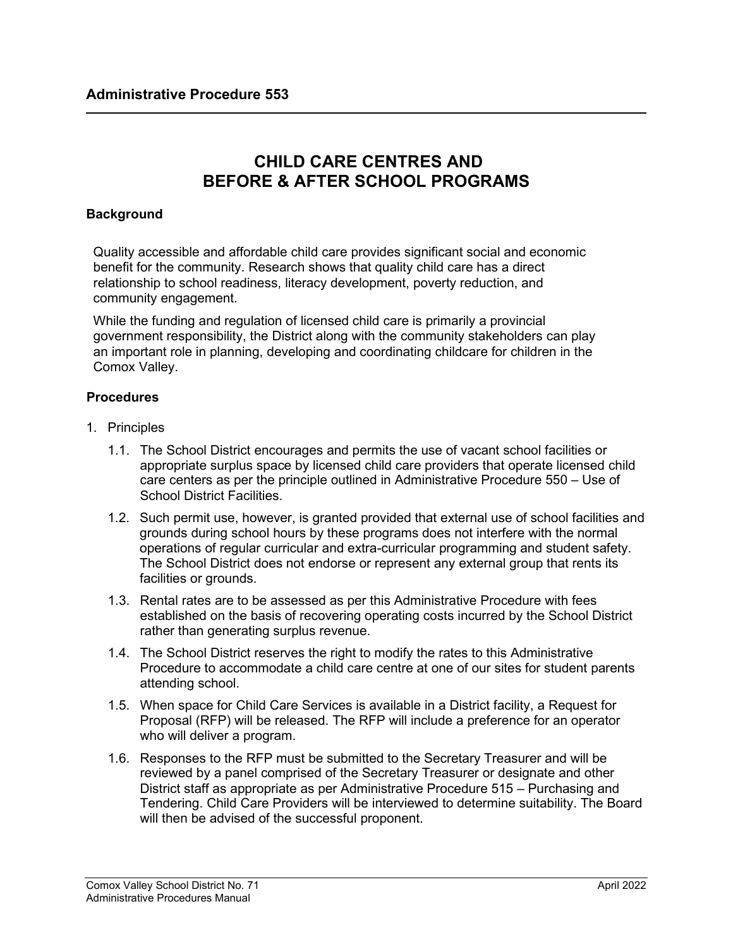## **CHILD CARE CENTRES AND BEFORE & AFTER SCHOOL PROGRAMS**

## **Background**

Quality accessible and affordable child care provides significant social and economic benefit for the community. Research shows that quality child care has a direct relationship to school readiness, literacy development, poverty reduction, and community engagement.

While the funding and regulation of licensed child care is primarily a provincial government responsibility, the District along with the community stakeholders can play an important role in planning, developing and coordinating childcare for children in the Comox Valley.

## **Procedures**

- 1. Principles
	- 1.1. The School District encourages and permits the use of vacant school facilities or appropriate surplus space by licensed child care providers that operate licensed child care centers as per the principle outlined in Administrative Procedure 550 – Use of School District Facilities.
	- 1.2. Such permit use, however, is granted provided that external use of school facilities and grounds during school hours by these programs does not interfere with the normal operations of regular curricular and extra-curricular programming and student safety. The School District does not endorse or represent any external group that rents its facilities or grounds.
	- 1.3. Rental rates are to be assessed as per this Administrative Procedure with fees established on the basis of recovering operating costs incurred by the School District rather than generating surplus revenue.
	- 1.4. The School District reserves the right to modify the rates to this Administrative Procedure to accommodate a child care centre at one of our sites for student parents attending school.
	- 1.5. When space for Child Care Services is available in a District facility, a Request for Proposal (RFP) will be released. The RFP will include a preference for an operator who will deliver a program.
	- 1.6. Responses to the RFP must be submitted to the Secretary Treasurer and will be reviewed by a panel comprised of the Secretary Treasurer or designate and other District staff as appropriate as per Administrative Procedure 515 – Purchasing and Tendering. Child Care Providers will be interviewed to determine suitability. The Board will then be advised of the successful proponent.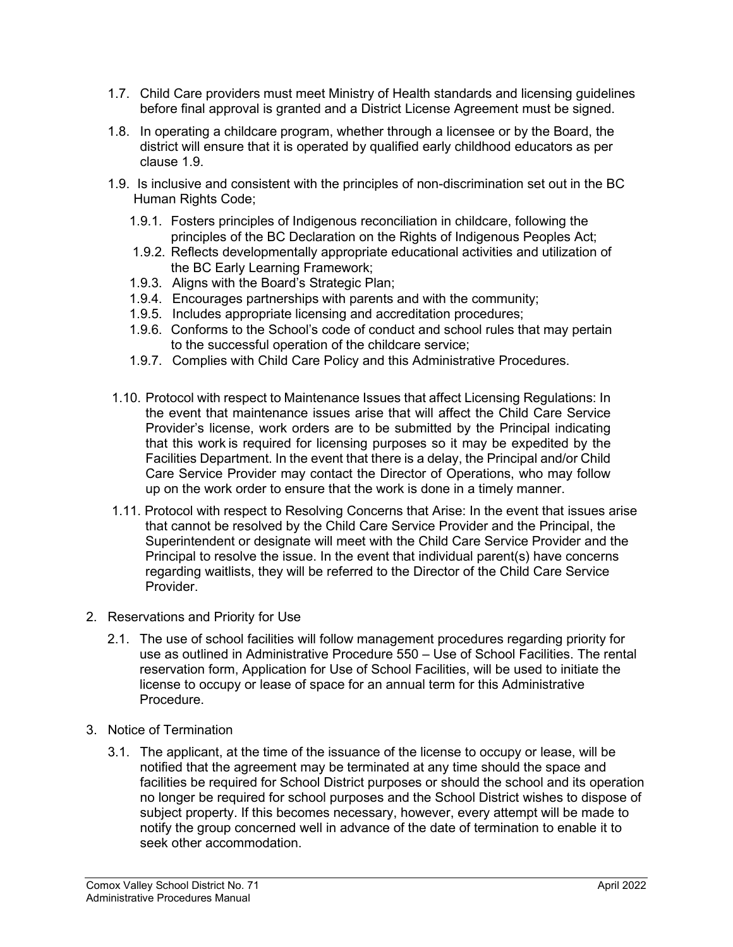- 1.7. Child Care providers must meet Ministry of Health standards and licensing guidelines before final approval is granted and a District License Agreement must be signed.
- 1.8. In operating a childcare program, whether through a licensee or by the Board, the district will ensure that it is operated by qualified early childhood educators as per clause 1.9.
- 1.9. Is inclusive and consistent with the principles of non-discrimination set out in the BC Human Rights Code;
	- 1.9.1. Fosters principles of Indigenous reconciliation in childcare, following the principles of the BC Declaration on the Rights of Indigenous Peoples Act;
	- 1.9.2. Reflects developmentally appropriate educational activities and utilization of the BC Early Learning Framework;
	- 1.9.3. Aligns with the Board's Strategic Plan;
	- 1.9.4. Encourages partnerships with parents and with the community;
	- 1.9.5. Includes appropriate licensing and accreditation procedures;
	- 1.9.6. Conforms to the School's code of conduct and school rules that may pertain to the successful operation of the childcare service;
	- 1.9.7. Complies with Child Care Policy and this Administrative Procedures.
- 1.10. Protocol with respect to Maintenance Issues that affect Licensing Regulations: In the event that maintenance issues arise that will affect the Child Care Service Provider's license, work orders are to be submitted by the Principal indicating that this work is required for licensing purposes so it may be expedited by the Facilities Department. In the event that there is a delay, the Principal and/or Child Care Service Provider may contact the Director of Operations, who may follow up on the work order to ensure that the work is done in a timely manner.
- 1.11. Protocol with respect to Resolving Concerns that Arise: In the event that issues arise that cannot be resolved by the Child Care Service Provider and the Principal, the Superintendent or designate will meet with the Child Care Service Provider and the Principal to resolve the issue. In the event that individual parent(s) have concerns regarding waitlists, they will be referred to the Director of the Child Care Service Provider.
- 2. Reservations and Priority for Use
	- 2.1. The use of school facilities will follow management procedures regarding priority for use as outlined in Administrative Procedure 550 – Use of School Facilities. The rental reservation form, Application for Use of School Facilities, will be used to initiate the license to occupy or lease of space for an annual term for this Administrative Procedure.
- 3. Notice of Termination
	- 3.1. The applicant, at the time of the issuance of the license to occupy or lease, will be notified that the agreement may be terminated at any time should the space and facilities be required for School District purposes or should the school and its operation no longer be required for school purposes and the School District wishes to dispose of subject property. If this becomes necessary, however, every attempt will be made to notify the group concerned well in advance of the date of termination to enable it to seek other accommodation.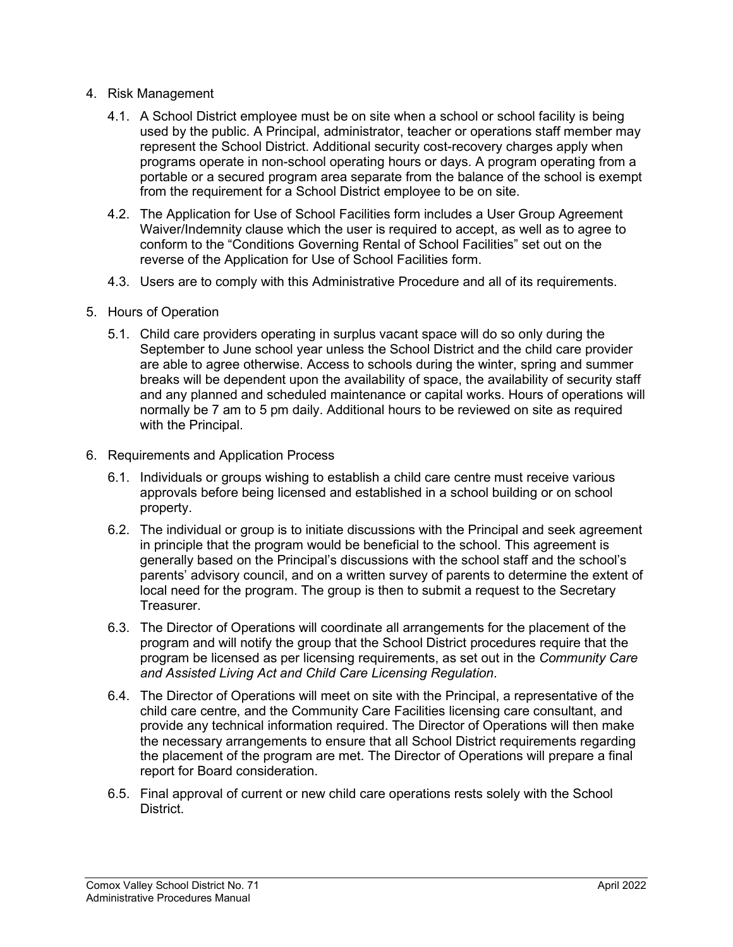- 4. Risk Management
	- 4.1. A School District employee must be on site when a school or school facility is being used by the public. A Principal, administrator, teacher or operations staff member may represent the School District. Additional security cost-recovery charges apply when programs operate in non-school operating hours or days. A program operating from a portable or a secured program area separate from the balance of the school is exempt from the requirement for a School District employee to be on site.
	- 4.2. The Application for Use of School Facilities form includes a User Group Agreement Waiver/Indemnity clause which the user is required to accept, as well as to agree to conform to the "Conditions Governing Rental of School Facilities" set out on the reverse of the Application for Use of School Facilities form.
	- 4.3. Users are to comply with this Administrative Procedure and all of its requirements.
- 5. Hours of Operation
	- 5.1. Child care providers operating in surplus vacant space will do so only during the September to June school year unless the School District and the child care provider are able to agree otherwise. Access to schools during the winter, spring and summer breaks will be dependent upon the availability of space, the availability of security staff and any planned and scheduled maintenance or capital works. Hours of operations will normally be 7 am to 5 pm daily. Additional hours to be reviewed on site as required with the Principal.
- 6. Requirements and Application Process
	- 6.1. Individuals or groups wishing to establish a child care centre must receive various approvals before being licensed and established in a school building or on school property.
	- 6.2. The individual or group is to initiate discussions with the Principal and seek agreement in principle that the program would be beneficial to the school. This agreement is generally based on the Principal's discussions with the school staff and the school's parents' advisory council, and on a written survey of parents to determine the extent of local need for the program. The group is then to submit a request to the Secretary Treasurer.
	- 6.3. The Director of Operations will coordinate all arrangements for the placement of the program and will notify the group that the School District procedures require that the program be licensed as per licensing requirements, as set out in the *Community Care and Assisted Living Act and Child Care Licensing Regulation*.
	- 6.4. The Director of Operations will meet on site with the Principal, a representative of the child care centre, and the Community Care Facilities licensing care consultant, and provide any technical information required. The Director of Operations will then make the necessary arrangements to ensure that all School District requirements regarding the placement of the program are met. The Director of Operations will prepare a final report for Board consideration.
	- 6.5. Final approval of current or new child care operations rests solely with the School District.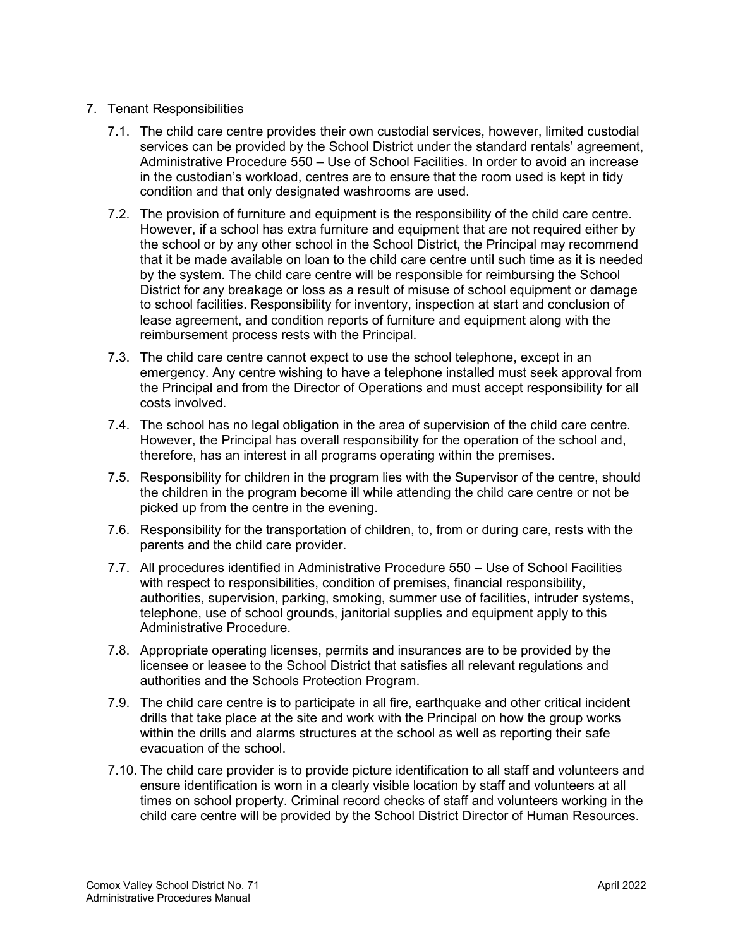## 7. Tenant Responsibilities

- 7.1. The child care centre provides their own custodial services, however, limited custodial services can be provided by the School District under the standard rentals' agreement, Administrative Procedure 550 – Use of School Facilities. In order to avoid an increase in the custodian's workload, centres are to ensure that the room used is kept in tidy condition and that only designated washrooms are used.
- 7.2. The provision of furniture and equipment is the responsibility of the child care centre. However, if a school has extra furniture and equipment that are not required either by the school or by any other school in the School District, the Principal may recommend that it be made available on loan to the child care centre until such time as it is needed by the system. The child care centre will be responsible for reimbursing the School District for any breakage or loss as a result of misuse of school equipment or damage to school facilities. Responsibility for inventory, inspection at start and conclusion of lease agreement, and condition reports of furniture and equipment along with the reimbursement process rests with the Principal.
- 7.3. The child care centre cannot expect to use the school telephone, except in an emergency. Any centre wishing to have a telephone installed must seek approval from the Principal and from the Director of Operations and must accept responsibility for all costs involved.
- 7.4. The school has no legal obligation in the area of supervision of the child care centre. However, the Principal has overall responsibility for the operation of the school and, therefore, has an interest in all programs operating within the premises.
- 7.5. Responsibility for children in the program lies with the Supervisor of the centre, should the children in the program become ill while attending the child care centre or not be picked up from the centre in the evening.
- 7.6. Responsibility for the transportation of children, to, from or during care, rests with the parents and the child care provider.
- 7.7. All procedures identified in Administrative Procedure 550 Use of School Facilities with respect to responsibilities, condition of premises, financial responsibility, authorities, supervision, parking, smoking, summer use of facilities, intruder systems, telephone, use of school grounds, janitorial supplies and equipment apply to this Administrative Procedure.
- 7.8. Appropriate operating licenses, permits and insurances are to be provided by the licensee or leasee to the School District that satisfies all relevant regulations and authorities and the Schools Protection Program.
- 7.9. The child care centre is to participate in all fire, earthquake and other critical incident drills that take place at the site and work with the Principal on how the group works within the drills and alarms structures at the school as well as reporting their safe evacuation of the school.
- 7.10. The child care provider is to provide picture identification to all staff and volunteers and ensure identification is worn in a clearly visible location by staff and volunteers at all times on school property. Criminal record checks of staff and volunteers working in the child care centre will be provided by the School District Director of Human Resources.